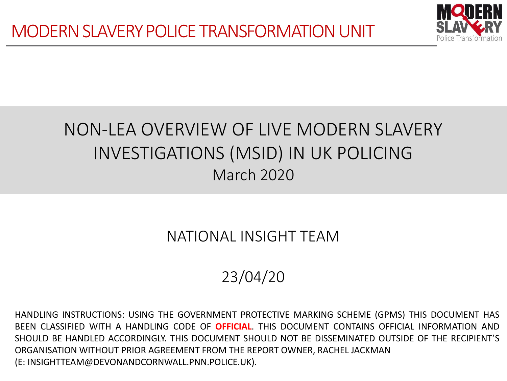

# NON-LEA OVERVIEW OF LIVE MODERN SLAVERY INVESTIGATIONS (MSID) IN UK POLICING March 2020

## NATIONAL INSIGHT TEAM

# 23/04/20

HANDLING INSTRUCTIONS: USING THE GOVERNMENT PROTECTIVE MARKING SCHEME (GPMS) THIS DOCUMENT HAS BEEN CLASSIFIED WITH A HANDLING CODE OF **OFFICIAL**. THIS DOCUMENT CONTAINS OFFICIAL INFORMATION AND SHOULD BE HANDLED ACCORDINGLY. THIS DOCUMENT SHOULD NOT BE DISSEMINATED OUTSIDE OF THE RECIPIENT'S ORGANISATION WITHOUT PRIOR AGREEMENT FROM THE REPORT OWNER, RACHEL JACKMAN (E: INSIGHTTEAM@DEVONANDCORNWALL.PNN.POLICE.UK).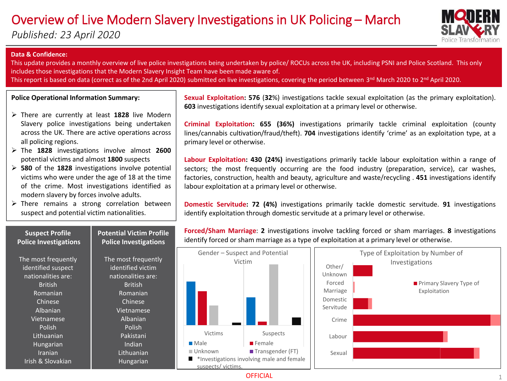## Overview of Live Modern Slavery Investigations in UK Policing – March

*Published: 23 April 2020*



#### **Data & Confidence:**

**Suspect Profile Police Investigations**

This update provides a monthly overview of live police investigations being undertaken by police/ ROCUs across the UK, including PSNI and Police Scotland. This only includes those investigations that the Modern Slavery Insight Team have been made aware of. This report is based on data (correct as of the 2nd April 2020) submitted on live investigations, covering the period between 3<sup>nd</sup> March 2020 to 2<sup>nd</sup> April 2020.

**Police Operational Information Summary:**

- There are currently at least **1828** live Modern Slavery police investigations being undertaken across the UK. There are active operations across all policing regions.
- The **1828** investigations involve almost **2600** potential victims and almost **1800** suspects
- **580** of the **1828** investigations involve potential victims who were under the age of 18 at the time of the crime. Most investigations identified as modern slavery by forces involve adults.
- $\triangleright$  There remains a strong correlation between suspect and potential victim nationalities.

**Potential Victim Profile Police Investigations**

**Sexual Exploitation: 576** (**32**%) investigations tackle sexual exploitation (as the primary exploitation). **603** investigations identify sexual exploitation at a primary level or otherwise.

**Criminal Exploitation: 655 (36%)** investigations primarily tackle criminal exploitation (county lines/cannabis cultivation/fraud/theft). **704** investigations identify 'crime' as an exploitation type, at a primary level or otherwise.

**Labour Exploitation: 430 (24%)** investigations primarily tackle labour exploitation within a range of sectors; the most frequently occurring are the food industry (preparation, service), car washes, factories, construction, health and beauty, agriculture and waste/recycling . **451** investigations identify labour exploitation at a primary level or otherwise.

**Domestic Servitude: 72 (4%)** investigations primarily tackle domestic servitude. **91** investigations identify exploitation through domestic servitude at a primary level or otherwise.

**Forced/Sham Marriage**: **2** investigations involve tackling forced or sham marriages. **8** investigations identify forced or sham marriage as a type of exploitation at a primary level or otherwise.



**OFFICIAL**